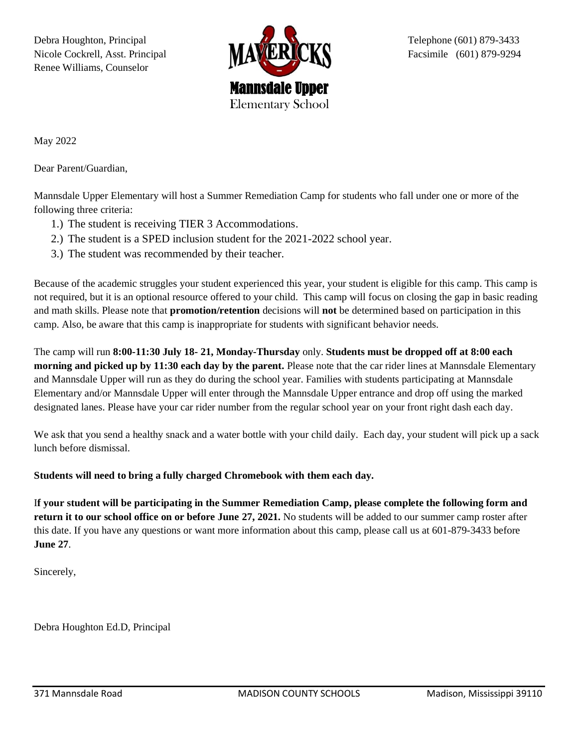Debra Houghton, Principal **Telephone (601) 879-3433** Nicole Cockrell, Asst. Principal **Facilly Concrete In the Concrete Concrete Concrete In the Concrete In the Concrete Concrete In the Concrete Concrete In the Concrete In the Concrete In the Concrete In the Concrete In the** Renee Williams, Counselor



May 2022

Dear Parent/Guardian,

Mannsdale Upper Elementary will host a Summer Remediation Camp for students who fall under one or more of the following three criteria:

- 1.) The student is receiving TIER 3 Accommodations.
- 2.) The student is a SPED inclusion student for the 2021-2022 school year.
- 3.) The student was recommended by their teacher.

Because of the academic struggles your student experienced this year, your student is eligible for this camp. This camp is not required, but it is an optional resource offered to your child. This camp will focus on closing the gap in basic reading and math skills. Please note that **promotion/retention** decisions will **not** be determined based on participation in this camp. Also, be aware that this camp is inappropriate for students with significant behavior needs.

The camp will run **8:00-11:30 July 18- 21, Monday-Thursday** only. **Students must be dropped off at 8:00 each morning and picked up by 11:30 each day by the parent.** Please note that the car rider lines at Mannsdale Elementary and Mannsdale Upper will run as they do during the school year. Families with students participating at Mannsdale Elementary and/or Mannsdale Upper will enter through the Mannsdale Upper entrance and drop off using the marked designated lanes. Please have your car rider number from the regular school year on your front right dash each day.

We ask that you send a healthy snack and a water bottle with your child daily. Each day, your student will pick up a sack lunch before dismissal.

**Students will need to bring a fully charged Chromebook with them each day.** 

I**f your student will be participating in the Summer Remediation Camp, please complete the following form and return it to our school office on or before June 27, 2021.** No students will be added to our summer camp roster after this date. If you have any questions or want more information about this camp, please call us at 601-879-3433 before **June 27**.

Sincerely,

Debra Houghton Ed.D, Principal